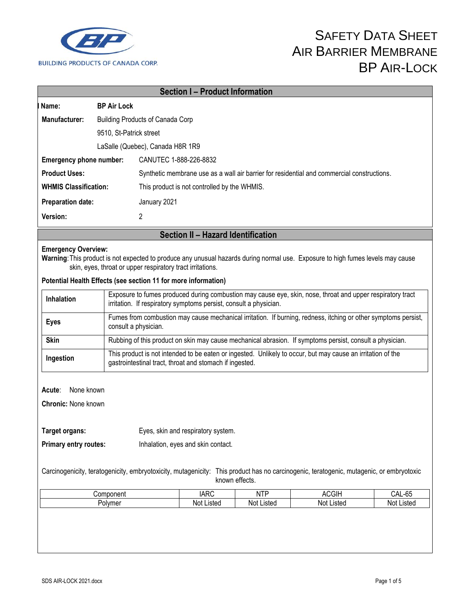

| Name:                          |                    | <b>Section I- Product Information</b>                                                                                                                                                                                                                                                                                                    |  |  |
|--------------------------------|--------------------|------------------------------------------------------------------------------------------------------------------------------------------------------------------------------------------------------------------------------------------------------------------------------------------------------------------------------------------|--|--|
|                                | <b>BP Air Lock</b> |                                                                                                                                                                                                                                                                                                                                          |  |  |
| Manufacturer:                  |                    | <b>Building Products of Canada Corp</b>                                                                                                                                                                                                                                                                                                  |  |  |
| 9510, St-Patrick street        |                    |                                                                                                                                                                                                                                                                                                                                          |  |  |
|                                |                    | LaSalle (Quebec), Canada H8R 1R9                                                                                                                                                                                                                                                                                                         |  |  |
| <b>Emergency phone number:</b> |                    | CANUTEC 1-888-226-8832                                                                                                                                                                                                                                                                                                                   |  |  |
| <b>Product Uses:</b>           |                    | Synthetic membrane use as a wall air barrier for residential and commercial constructions.                                                                                                                                                                                                                                               |  |  |
| <b>WHMIS Classification:</b>   |                    | This product is not controlled by the WHMIS.                                                                                                                                                                                                                                                                                             |  |  |
| <b>Preparation date:</b>       |                    | January 2021                                                                                                                                                                                                                                                                                                                             |  |  |
| Version:                       |                    | $\overline{2}$                                                                                                                                                                                                                                                                                                                           |  |  |
|                                |                    | Section II - Hazard Identification                                                                                                                                                                                                                                                                                                       |  |  |
|                                |                    | Warning: This product is not expected to produce any unusual hazards during normal use. Exposure to high fumes levels may cause<br>skin, eyes, throat or upper respiratory tract irritations.<br>Potential Health Effects (see section 11 for more information)                                                                          |  |  |
| <b>Inhalation</b>              |                    | irritation. If respiratory symptoms persist, consult a physician.                                                                                                                                                                                                                                                                        |  |  |
| <b>Eyes</b>                    |                    | consult a physician.                                                                                                                                                                                                                                                                                                                     |  |  |
| <b>Skin</b>                    |                    | Exposure to fumes produced during combustion may cause eye, skin, nose, throat and upper respiratory tract<br>Fumes from combustion may cause mechanical irritation. If burning, redness, itching or other symptoms persist,<br>Rubbing of this product on skin may cause mechanical abrasion. If symptoms persist, consult a physician. |  |  |

Carcinogenicity, teratogenicity, embryotoxicity, mutagenicity: This product has no carcinogenic, teratogenic, mutagenic, or embryotoxic known effects.

| Component | <b>IARC</b> | <b>NTP</b> | <b>ACGIH</b> | CAL-65     |
|-----------|-------------|------------|--------------|------------|
| Polymer   | Not Listed  | Not Listed | Not Listed   | Not Listed |
|           |             |            |              |            |
|           |             |            |              |            |
|           |             |            |              |            |
|           |             |            |              |            |
|           |             |            |              |            |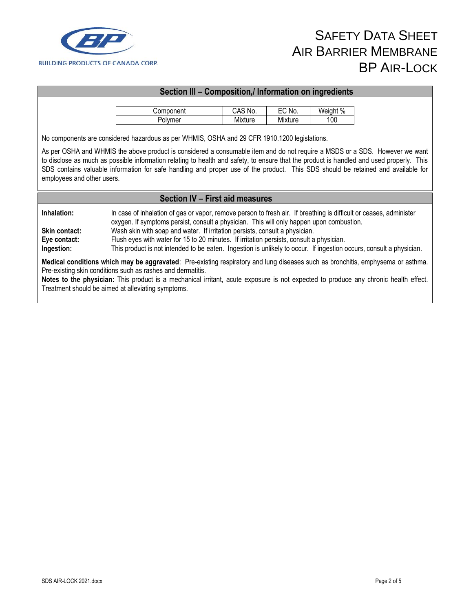

#### **Section III – Composition,/ Information on ingredients**

| Component | CAS No. | $\mathsf{C}$ No. | Weight % |
|-----------|---------|------------------|----------|
| Polvmer   | Mixture | Mixture          | 100      |

No components are considered hazardous as per WHMIS, OSHA and 29 CFR 1910.1200 legislations.

As per OSHA and WHMIS the above product is considered a consumable item and do not require a MSDS or a SDS. However we want to disclose as much as possible information relating to health and safety, to ensure that the product is handled and used properly. This SDS contains valuable information for safe handling and proper use of the product. This SDS should be retained and available for employees and other users.

#### **Section IV – First aid measures**

**Inhalation:** In case of inhalation of gas or vapor, remove person to fresh air. If breathing is difficult or ceases, administer oxygen. If symptoms persist, consult a physician. This will only happen upon combustion. **Skin contact:** Wash skin with soap and water. If irritation persists, consult a physician. **Eye contact:** Flush eyes with water for 15 to 20 minutes. If irritation persists, consult a physician. **Ingestion:** This product is not intended to be eaten. Ingestion is unlikely to occur. If ingestion occurs, consult a physician.

**Medical conditions which may be aggravated**: Pre-existing respiratory and lung diseases such as bronchitis, emphysema or asthma. Pre-existing skin conditions such as rashes and dermatitis.

**Notes to the physician:** This product is a mechanical irritant, acute exposure is not expected to produce any chronic health effect. Treatment should be aimed at alleviating symptoms.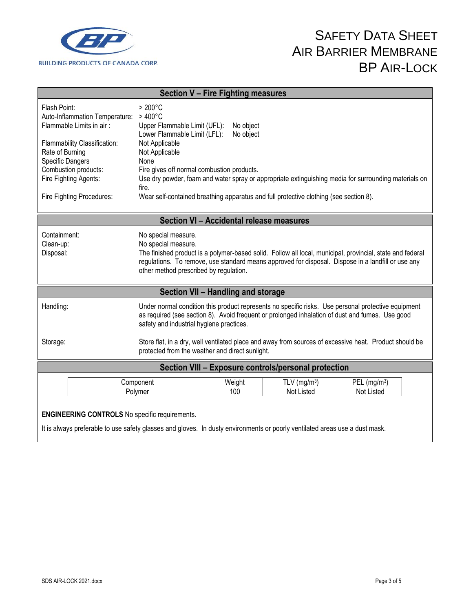

|                                                                                                                                                                       | Section V - Fire Fighting measures                                                                                                          |                        |                               |                                                                                                                                                                                                                 |
|-----------------------------------------------------------------------------------------------------------------------------------------------------------------------|---------------------------------------------------------------------------------------------------------------------------------------------|------------------------|-------------------------------|-----------------------------------------------------------------------------------------------------------------------------------------------------------------------------------------------------------------|
| Flash Point:<br>Auto-Inflammation Temperature:<br>Flammable Limits in air:                                                                                            | $>200^{\circ}$ C<br>$>400^{\circ}$ C<br>Upper Flammable Limit (UFL):<br>Lower Flammable Limit (LFL):                                        | No object<br>No object |                               |                                                                                                                                                                                                                 |
| Flammability Classification:<br>Rate of Burning<br><b>Specific Dangers</b>                                                                                            | Not Applicable<br>Not Applicable<br>None                                                                                                    |                        |                               |                                                                                                                                                                                                                 |
| Combustion products:<br>Fire Fighting Agents:                                                                                                                         | Fire gives off normal combustion products.<br>fire.                                                                                         |                        |                               | Use dry powder, foam and water spray or appropriate extinguishing media for surrounding materials on                                                                                                            |
| Fire Fighting Procedures:                                                                                                                                             | Wear self-contained breathing apparatus and full protective clothing (see section 8).                                                       |                        |                               |                                                                                                                                                                                                                 |
| Section VI - Accidental release measures                                                                                                                              |                                                                                                                                             |                        |                               |                                                                                                                                                                                                                 |
| Containment:<br>Clean-up:<br>Disposal:                                                                                                                                | No special measure.<br>No special measure.<br>other method prescribed by regulation.                                                        |                        |                               | The finished product is a polymer-based solid. Follow all local, municipal, provincial, state and federal<br>regulations. To remove, use standard means approved for disposal. Dispose in a landfill or use any |
| Section VII - Handling and storage                                                                                                                                    |                                                                                                                                             |                        |                               |                                                                                                                                                                                                                 |
| Handling:                                                                                                                                                             | as required (see section 8). Avoid frequent or prolonged inhalation of dust and fumes. Use good<br>safety and industrial hygiene practices. |                        |                               | Under normal condition this product represents no specific risks. Use personal protective equipment                                                                                                             |
| Store flat, in a dry, well ventilated place and away from sources of excessive heat. Product should be<br>Storage:<br>protected from the weather and direct sunlight. |                                                                                                                                             |                        |                               |                                                                                                                                                                                                                 |
| Section VIII - Exposure controls/personal protection                                                                                                                  |                                                                                                                                             |                        |                               |                                                                                                                                                                                                                 |
|                                                                                                                                                                       | Component<br>Polymer                                                                                                                        | Weight<br>100          | TLV ( $mg/m3$ )<br>Not Listed | PEL $(mg/m3)$<br>Not Listed                                                                                                                                                                                     |
| <b>ENGINEERING CONTROLS</b> No specific requirements.                                                                                                                 |                                                                                                                                             |                        |                               |                                                                                                                                                                                                                 |

It is always preferable to use safety glasses and gloves. In dusty environments or poorly ventilated areas use a dust mask.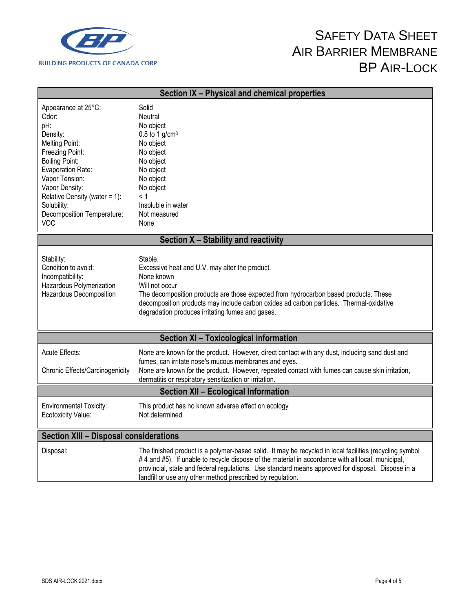

| Section IX - Physical and chemical properties                                                                                                                                                                                                                         |                                                                                                                                                                                                                                                                                                                                                                                 |  |
|-----------------------------------------------------------------------------------------------------------------------------------------------------------------------------------------------------------------------------------------------------------------------|---------------------------------------------------------------------------------------------------------------------------------------------------------------------------------------------------------------------------------------------------------------------------------------------------------------------------------------------------------------------------------|--|
| Appearance at 25°C:<br>Odor:<br>pH:<br>Density:<br>Melting Point:<br>Freezing Point:<br><b>Boiling Point:</b><br>Evaporation Rate:<br>Vapor Tension:<br>Vapor Density:<br>Relative Density (water = $1$ ):<br>Solubility:<br>Decomposition Temperature:<br><b>VOC</b> | Solid<br><b>Neutral</b><br>No object<br>0.8 to 1 $g/cm3$<br>No object<br>No object<br>No object<br>No object<br>No object<br>No object<br>< 1<br>Insoluble in water<br>Not measured<br>None                                                                                                                                                                                     |  |
| Section X - Stability and reactivity                                                                                                                                                                                                                                  |                                                                                                                                                                                                                                                                                                                                                                                 |  |
| Stability:<br>Condition to avoid:<br>Incompatibility:<br>Hazardous Polymerization<br>Hazardous Decomposition                                                                                                                                                          | Stable.<br>Excessive heat and U.V. may alter the product.<br>None known<br>Will not occur<br>The decomposition products are those expected from hydrocarbon based products. These<br>decomposition products may include carbon oxides ad carbon particles. Thermal-oxidative<br>degradation produces irritating fumes and gases.                                                |  |
| Section XI - Toxicological information                                                                                                                                                                                                                                |                                                                                                                                                                                                                                                                                                                                                                                 |  |
| Acute Effects:<br>Chronic Effects/Carcinogenicity                                                                                                                                                                                                                     | None are known for the product. However, direct contact with any dust, including sand dust and<br>fumes, can irritate nose's mucous membranes and eyes.<br>None are known for the product. However, repeated contact with fumes can cause skin irritation,<br>dermatitis or respiratory sensitization or irritation.<br><b>Section XII - Ecological Information</b>             |  |
| <b>Environmental Toxicity:</b><br>Ecotoxicity Value:                                                                                                                                                                                                                  | This product has no known adverse effect on ecology<br>Not determined                                                                                                                                                                                                                                                                                                           |  |
| <b>Section XIII - Disposal considerations</b>                                                                                                                                                                                                                         |                                                                                                                                                                                                                                                                                                                                                                                 |  |
| Disposal:                                                                                                                                                                                                                                                             | The finished product is a polymer-based solid. It may be recycled in local facilities (recycling symbol<br>#4 and #5). If unable to recycle dispose of the material in accordance with all local, municipal,<br>provincial, state and federal regulations. Use standard means approved for disposal. Dispose in a<br>landfill or use any other method prescribed by regulation. |  |